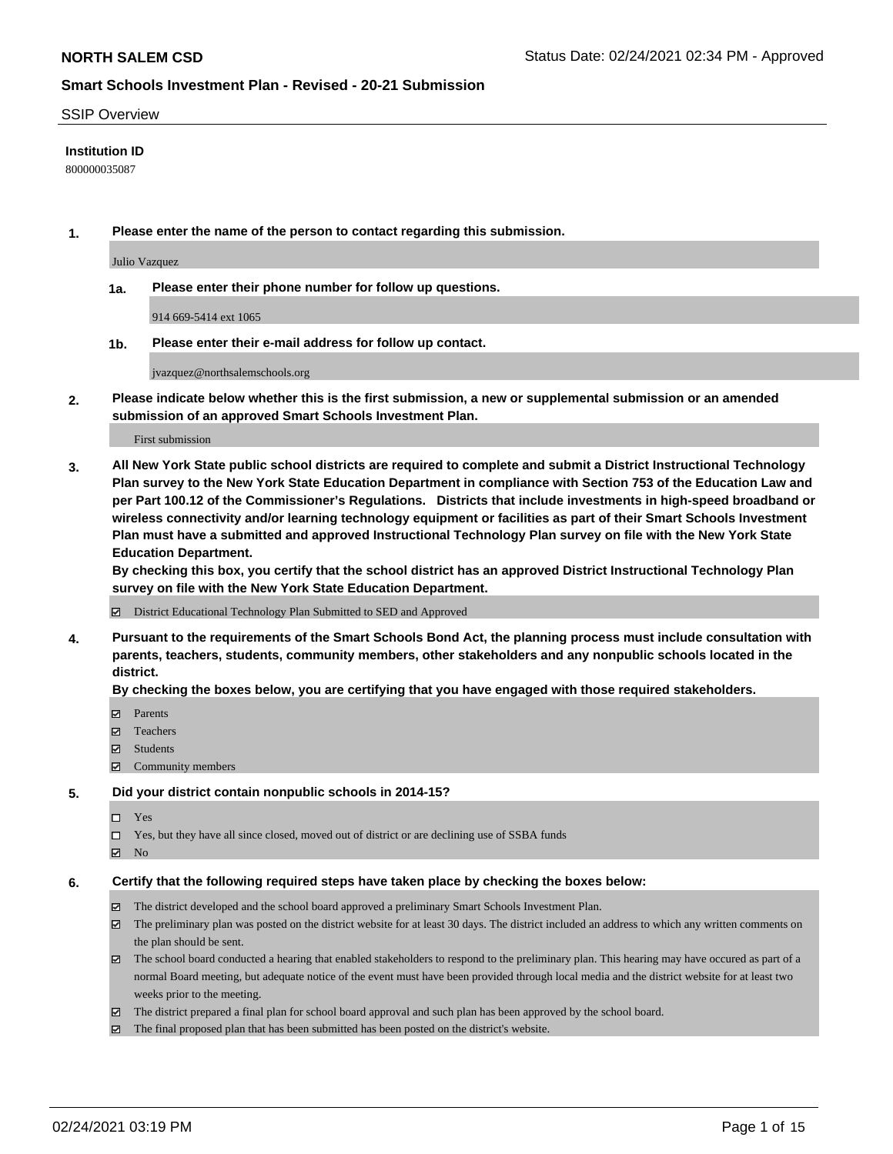#### SSIP Overview

### **Institution ID**

800000035087

**1. Please enter the name of the person to contact regarding this submission.**

Julio Vazquez

**1a. Please enter their phone number for follow up questions.**

914 669-5414 ext 1065

**1b. Please enter their e-mail address for follow up contact.**

jvazquez@northsalemschools.org

**2. Please indicate below whether this is the first submission, a new or supplemental submission or an amended submission of an approved Smart Schools Investment Plan.**

#### First submission

**3. All New York State public school districts are required to complete and submit a District Instructional Technology Plan survey to the New York State Education Department in compliance with Section 753 of the Education Law and per Part 100.12 of the Commissioner's Regulations. Districts that include investments in high-speed broadband or wireless connectivity and/or learning technology equipment or facilities as part of their Smart Schools Investment Plan must have a submitted and approved Instructional Technology Plan survey on file with the New York State Education Department.** 

**By checking this box, you certify that the school district has an approved District Instructional Technology Plan survey on file with the New York State Education Department.**

District Educational Technology Plan Submitted to SED and Approved

**4. Pursuant to the requirements of the Smart Schools Bond Act, the planning process must include consultation with parents, teachers, students, community members, other stakeholders and any nonpublic schools located in the district.** 

#### **By checking the boxes below, you are certifying that you have engaged with those required stakeholders.**

- **Ø** Parents
- Teachers
- Students
- Community members

#### **5. Did your district contain nonpublic schools in 2014-15?**

- □ Yes
- □ Yes, but they have all since closed, moved out of district or are declining use of SSBA funds
- **Ø** No

#### **6. Certify that the following required steps have taken place by checking the boxes below:**

- The district developed and the school board approved a preliminary Smart Schools Investment Plan.
- The preliminary plan was posted on the district website for at least 30 days. The district included an address to which any written comments on the plan should be sent.
- The school board conducted a hearing that enabled stakeholders to respond to the preliminary plan. This hearing may have occured as part of a normal Board meeting, but adequate notice of the event must have been provided through local media and the district website for at least two weeks prior to the meeting.
- The district prepared a final plan for school board approval and such plan has been approved by the school board.
- $\boxtimes$  The final proposed plan that has been submitted has been posted on the district's website.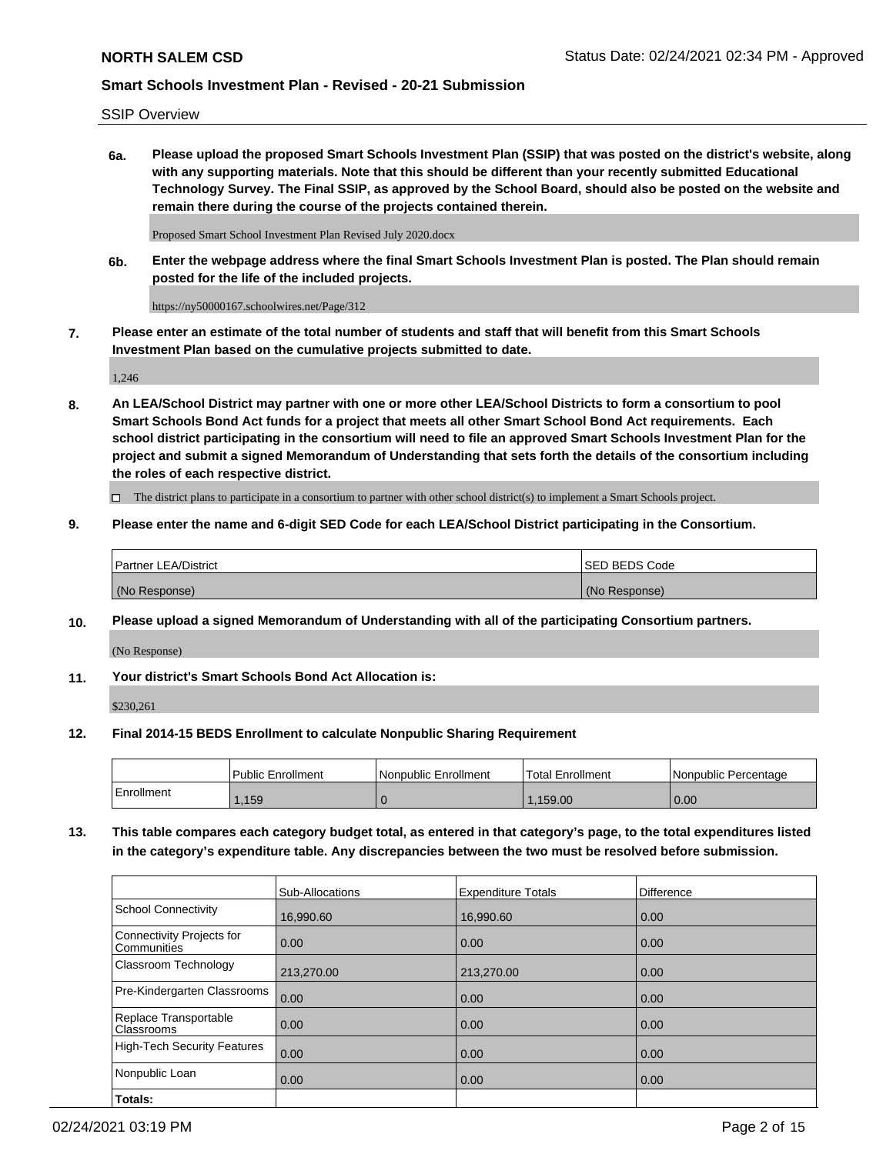SSIP Overview

**6a. Please upload the proposed Smart Schools Investment Plan (SSIP) that was posted on the district's website, along with any supporting materials. Note that this should be different than your recently submitted Educational Technology Survey. The Final SSIP, as approved by the School Board, should also be posted on the website and remain there during the course of the projects contained therein.**

Proposed Smart School Investment Plan Revised July 2020.docx

**6b. Enter the webpage address where the final Smart Schools Investment Plan is posted. The Plan should remain posted for the life of the included projects.**

https://ny50000167.schoolwires.net/Page/312

**7. Please enter an estimate of the total number of students and staff that will benefit from this Smart Schools Investment Plan based on the cumulative projects submitted to date.**

1,246

**8. An LEA/School District may partner with one or more other LEA/School Districts to form a consortium to pool Smart Schools Bond Act funds for a project that meets all other Smart School Bond Act requirements. Each school district participating in the consortium will need to file an approved Smart Schools Investment Plan for the project and submit a signed Memorandum of Understanding that sets forth the details of the consortium including the roles of each respective district.**

 $\Box$  The district plans to participate in a consortium to partner with other school district(s) to implement a Smart Schools project.

#### **9. Please enter the name and 6-digit SED Code for each LEA/School District participating in the Consortium.**

| Partner LEA/District | ISED BEDS Code |
|----------------------|----------------|
| (No Response)        | (No Response)  |

### **10. Please upload a signed Memorandum of Understanding with all of the participating Consortium partners.**

(No Response)

**11. Your district's Smart Schools Bond Act Allocation is:**

\$230,261

#### **12. Final 2014-15 BEDS Enrollment to calculate Nonpublic Sharing Requirement**

|            | l Public Enrollment | Nonpublic Enrollment | Total Enrollment | Nonpublic Percentage |
|------------|---------------------|----------------------|------------------|----------------------|
| Enrollment | .159                |                      | .159.00          | 0.00                 |

**13. This table compares each category budget total, as entered in that category's page, to the total expenditures listed in the category's expenditure table. Any discrepancies between the two must be resolved before submission.**

|                                          | Sub-Allocations | <b>Expenditure Totals</b> | <b>Difference</b> |
|------------------------------------------|-----------------|---------------------------|-------------------|
| <b>School Connectivity</b>               | 16,990.60       | 16,990.60                 | 0.00              |
| Connectivity Projects for<br>Communities | 0.00            | 0.00                      | 0.00              |
| Classroom Technology                     | 213,270.00      | 213,270.00                | 0.00              |
| Pre-Kindergarten Classrooms              | 0.00            | 0.00                      | 0.00              |
| Replace Transportable<br>Classrooms      | 0.00            | 0.00                      | 0.00              |
| High-Tech Security Features              | 0.00            | 0.00                      | 0.00              |
| Nonpublic Loan                           | 0.00            | 0.00                      | 0.00              |
| Totals:                                  |                 |                           |                   |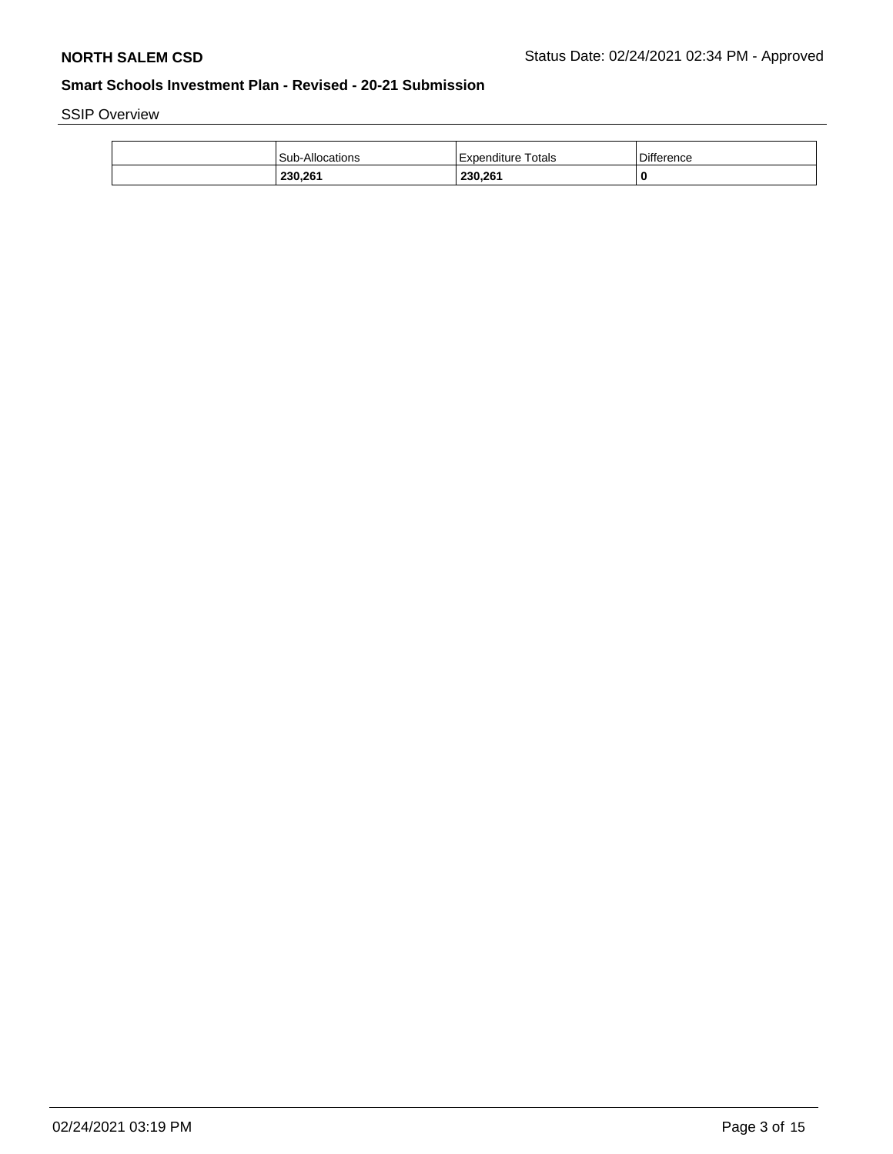SSIP Overview

| 230,261         | 230,261                 |                   |
|-----------------|-------------------------|-------------------|
| Sub-Allocations | Totals<br>. Expenditure | <b>Difference</b> |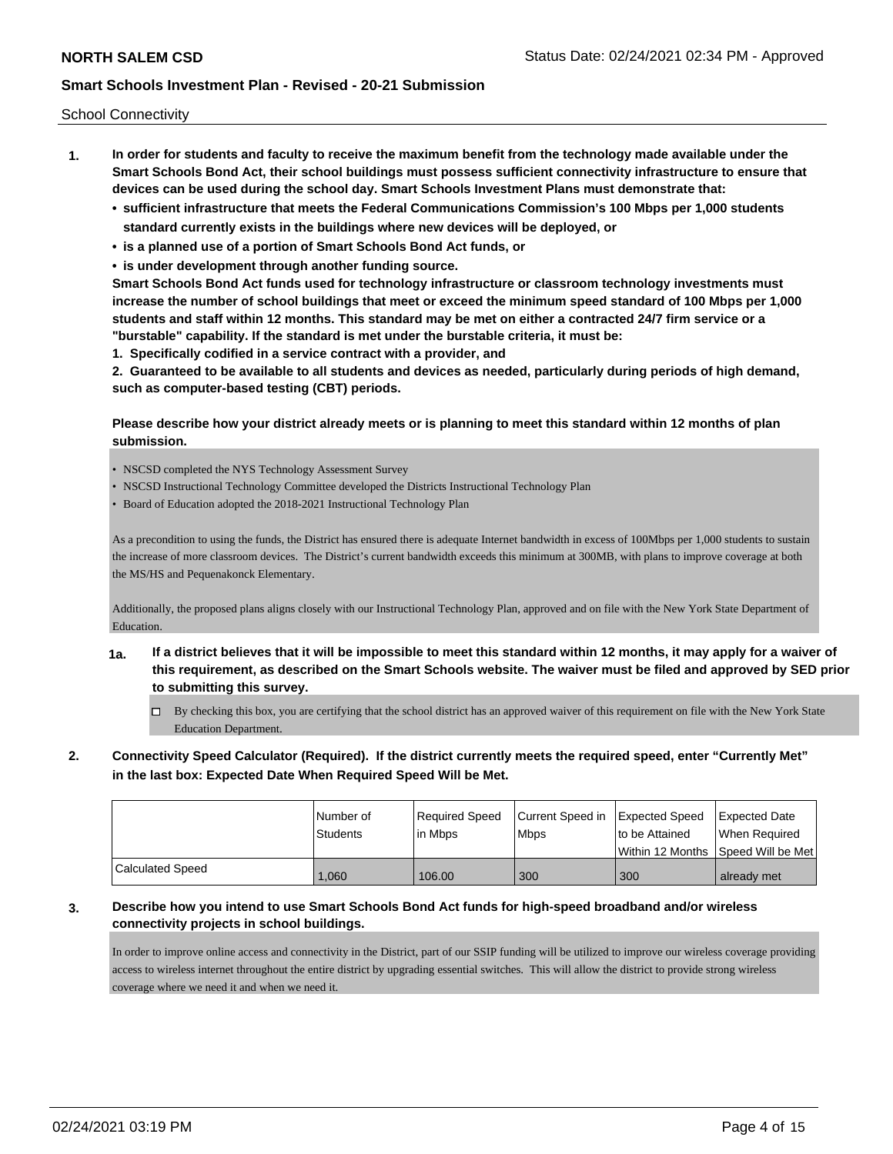School Connectivity

- **1. In order for students and faculty to receive the maximum benefit from the technology made available under the Smart Schools Bond Act, their school buildings must possess sufficient connectivity infrastructure to ensure that devices can be used during the school day. Smart Schools Investment Plans must demonstrate that:**
	- **• sufficient infrastructure that meets the Federal Communications Commission's 100 Mbps per 1,000 students standard currently exists in the buildings where new devices will be deployed, or**
	- **• is a planned use of a portion of Smart Schools Bond Act funds, or**
	- **• is under development through another funding source.**

**Smart Schools Bond Act funds used for technology infrastructure or classroom technology investments must increase the number of school buildings that meet or exceed the minimum speed standard of 100 Mbps per 1,000 students and staff within 12 months. This standard may be met on either a contracted 24/7 firm service or a "burstable" capability. If the standard is met under the burstable criteria, it must be:**

**1. Specifically codified in a service contract with a provider, and**

**2. Guaranteed to be available to all students and devices as needed, particularly during periods of high demand, such as computer-based testing (CBT) periods.**

### **Please describe how your district already meets or is planning to meet this standard within 12 months of plan submission.**

- NSCSD completed the NYS Technology Assessment Survey
- NSCSD Instructional Technology Committee developed the Districts Instructional Technology Plan
- Board of Education adopted the 2018-2021 Instructional Technology Plan

As a precondition to using the funds, the District has ensured there is adequate Internet bandwidth in excess of 100Mbps per 1,000 students to sustain the increase of more classroom devices. The District's current bandwidth exceeds this minimum at 300MB, with plans to improve coverage at both the MS/HS and Pequenakonck Elementary.

Additionally, the proposed plans aligns closely with our Instructional Technology Plan, approved and on file with the New York State Department of Education.

- **1a. If a district believes that it will be impossible to meet this standard within 12 months, it may apply for a waiver of this requirement, as described on the Smart Schools website. The waiver must be filed and approved by SED prior to submitting this survey.**
	- By checking this box, you are certifying that the school district has an approved waiver of this requirement on file with the New York State Education Department.
- **2. Connectivity Speed Calculator (Required). If the district currently meets the required speed, enter "Currently Met" in the last box: Expected Date When Required Speed Will be Met.**

|                  | Number of       | Required Speed | Current Speed in   Expected Speed | to be Attained                       | <b>Expected Date</b> |
|------------------|-----------------|----------------|-----------------------------------|--------------------------------------|----------------------|
|                  | <b>Students</b> | lin Mbps       | Mbps                              | Within 12 Months   Speed Will be Met | When Required        |
| Calculated Speed | .060            | 106.00         | 300                               | 300                                  | already met          |

## **3. Describe how you intend to use Smart Schools Bond Act funds for high-speed broadband and/or wireless connectivity projects in school buildings.**

In order to improve online access and connectivity in the District, part of our SSIP funding will be utilized to improve our wireless coverage providing access to wireless internet throughout the entire district by upgrading essential switches. This will allow the district to provide strong wireless coverage where we need it and when we need it.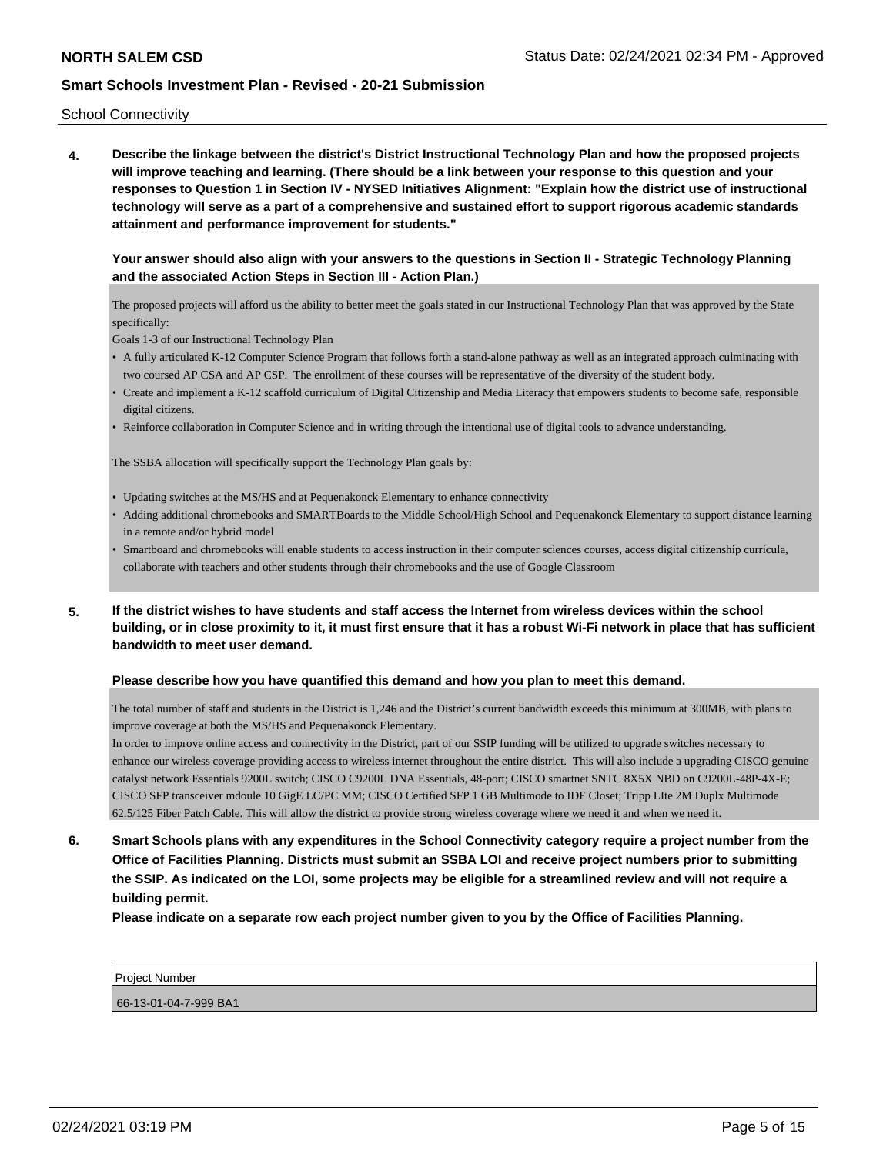School Connectivity

**4. Describe the linkage between the district's District Instructional Technology Plan and how the proposed projects will improve teaching and learning. (There should be a link between your response to this question and your responses to Question 1 in Section IV - NYSED Initiatives Alignment: "Explain how the district use of instructional technology will serve as a part of a comprehensive and sustained effort to support rigorous academic standards attainment and performance improvement for students."** 

### **Your answer should also align with your answers to the questions in Section II - Strategic Technology Planning and the associated Action Steps in Section III - Action Plan.)**

The proposed projects will afford us the ability to better meet the goals stated in our Instructional Technology Plan that was approved by the State specifically:

Goals 1-3 of our Instructional Technology Plan

- A fully articulated K-12 Computer Science Program that follows forth a stand-alone pathway as well as an integrated approach culminating with two coursed AP CSA and AP CSP. The enrollment of these courses will be representative of the diversity of the student body.
- Create and implement a K-12 scaffold curriculum of Digital Citizenship and Media Literacy that empowers students to become safe, responsible digital citizens.
- Reinforce collaboration in Computer Science and in writing through the intentional use of digital tools to advance understanding.

The SSBA allocation will specifically support the Technology Plan goals by:

- Updating switches at the MS/HS and at Pequenakonck Elementary to enhance connectivity
- Adding additional chromebooks and SMARTBoards to the Middle School/High School and Pequenakonck Elementary to support distance learning in a remote and/or hybrid model
- Smartboard and chromebooks will enable students to access instruction in their computer sciences courses, access digital citizenship curricula, collaborate with teachers and other students through their chromebooks and the use of Google Classroom
- **5. If the district wishes to have students and staff access the Internet from wireless devices within the school building, or in close proximity to it, it must first ensure that it has a robust Wi-Fi network in place that has sufficient bandwidth to meet user demand.**

#### **Please describe how you have quantified this demand and how you plan to meet this demand.**

The total number of staff and students in the District is 1,246 and the District's current bandwidth exceeds this minimum at 300MB, with plans to improve coverage at both the MS/HS and Pequenakonck Elementary.

In order to improve online access and connectivity in the District, part of our SSIP funding will be utilized to upgrade switches necessary to enhance our wireless coverage providing access to wireless internet throughout the entire district. This will also include a upgrading CISCO genuine catalyst network Essentials 9200L switch; CISCO C9200L DNA Essentials, 48-port; CISCO smartnet SNTC 8X5X NBD on C9200L-48P-4X-E; CISCO SFP transceiver mdoule 10 GigE LC/PC MM; CISCO Certified SFP 1 GB Multimode to IDF Closet; Tripp LIte 2M Duplx Multimode 62.5/125 Fiber Patch Cable. This will allow the district to provide strong wireless coverage where we need it and when we need it.

**6. Smart Schools plans with any expenditures in the School Connectivity category require a project number from the Office of Facilities Planning. Districts must submit an SSBA LOI and receive project numbers prior to submitting the SSIP. As indicated on the LOI, some projects may be eligible for a streamlined review and will not require a building permit.**

**Please indicate on a separate row each project number given to you by the Office of Facilities Planning.**

Project Number

66-13-01-04-7-999 BA1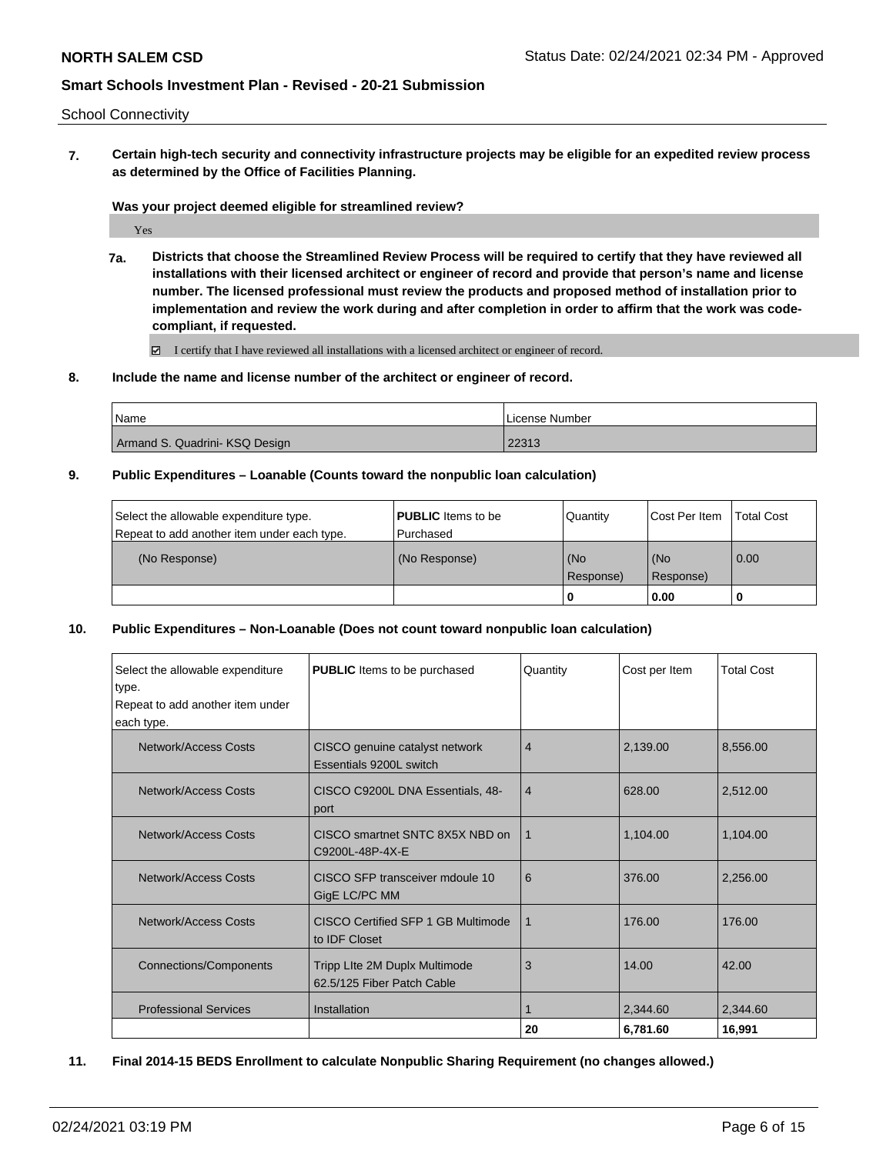School Connectivity

**7. Certain high-tech security and connectivity infrastructure projects may be eligible for an expedited review process as determined by the Office of Facilities Planning.**

**Was your project deemed eligible for streamlined review?**

Yes

**7a. Districts that choose the Streamlined Review Process will be required to certify that they have reviewed all installations with their licensed architect or engineer of record and provide that person's name and license number. The licensed professional must review the products and proposed method of installation prior to implementation and review the work during and after completion in order to affirm that the work was codecompliant, if requested.**

I certify that I have reviewed all installations with a licensed architect or engineer of record.

**8. Include the name and license number of the architect or engineer of record.**

| <b>Name</b>                    | I License Number |
|--------------------------------|------------------|
| Armand S. Quadrini- KSQ Design | 22313            |

**9. Public Expenditures – Loanable (Counts toward the nonpublic loan calculation)**

| Select the allowable expenditure type.      | <b>PUBLIC</b> Items to be | Quantity           | Cost Per Item    | <b>Total Cost</b> |
|---------------------------------------------|---------------------------|--------------------|------------------|-------------------|
| Repeat to add another item under each type. | Purchased                 |                    |                  |                   |
| (No Response)                               | (No Response)             | l (No<br>Response) | (No<br>Response) | $\overline{0.00}$ |
|                                             |                           |                    | 0.00             |                   |

**10. Public Expenditures – Non-Loanable (Does not count toward nonpublic loan calculation)**

| Select the allowable expenditure<br>type.<br>Repeat to add another item under<br>each type. | <b>PUBLIC</b> Items to be purchased                         | Quantity       | Cost per Item | <b>Total Cost</b> |
|---------------------------------------------------------------------------------------------|-------------------------------------------------------------|----------------|---------------|-------------------|
| Network/Access Costs                                                                        | CISCO genuine catalyst network<br>Essentials 9200L switch   | $\overline{4}$ | 2,139.00      | 8,556.00          |
| Network/Access Costs                                                                        | CISCO C9200L DNA Essentials, 48-<br>port                    | $\overline{4}$ | 628.00        | 2,512.00          |
| Network/Access Costs                                                                        | CISCO smartnet SNTC 8X5X NBD on<br>C9200L-48P-4X-E          | 1              | 1,104.00      | 1,104.00          |
| Network/Access Costs                                                                        | CISCO SFP transceiver mdoule 10<br>GigE LC/PC MM            | 6              | 376.00        | 2,256.00          |
| Network/Access Costs                                                                        | CISCO Certified SFP 1 GB Multimode<br>to <b>IDF</b> Closet  | 1              | 176.00        | 176.00            |
| <b>Connections/Components</b>                                                               | Tripp Lite 2M Duplx Multimode<br>62.5/125 Fiber Patch Cable | 3              | 14.00         | 42.00             |
| <b>Professional Services</b>                                                                | Installation                                                |                | 2,344.60      | 2,344.60          |
|                                                                                             |                                                             | 20             | 6,781.60      | 16,991            |

**11. Final 2014-15 BEDS Enrollment to calculate Nonpublic Sharing Requirement (no changes allowed.)**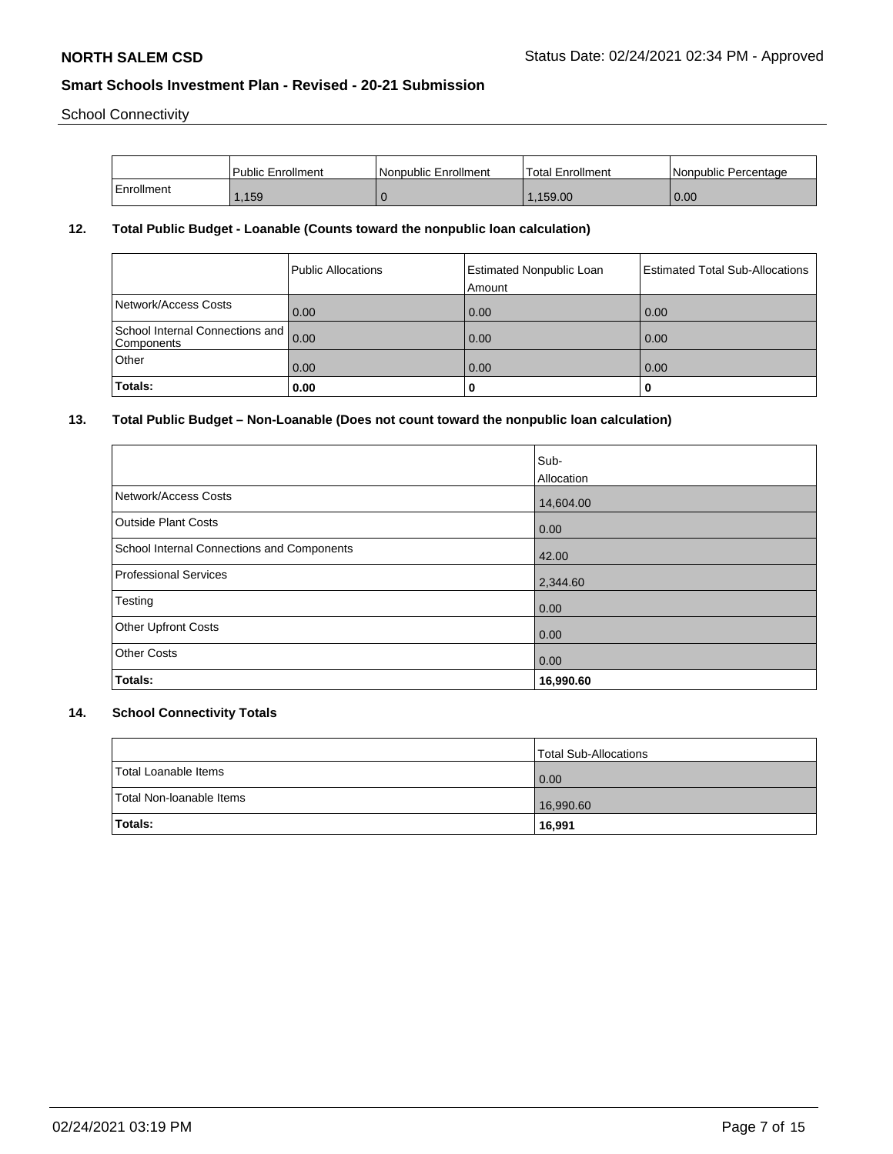School Connectivity

|            | <b>Public Enrollment</b> | Nonpublic Enrollment | 'Total Enrollment | I Nonpublic Percentage |
|------------|--------------------------|----------------------|-------------------|------------------------|
| Enrollment | ,159                     |                      | 1.159.00          | 0.00                   |

## **12. Total Public Budget - Loanable (Counts toward the nonpublic loan calculation)**

|                                                    | Public Allocations | <b>Estimated Nonpublic Loan</b><br>Amount | Estimated Total Sub-Allocations |
|----------------------------------------------------|--------------------|-------------------------------------------|---------------------------------|
| Network/Access Costs                               | $\vert$ 0.00       | 0.00                                      | 0.00                            |
| School Internal Connections and 0.00<br>Components |                    | 0.00                                      | 0.00                            |
| Other                                              | $\vert$ 0.00       | 0.00                                      | 0.00                            |
| Totals:                                            | 0.00               | 0                                         | o                               |

# **13. Total Public Budget – Non-Loanable (Does not count toward the nonpublic loan calculation)**

|                                            | Sub-       |
|--------------------------------------------|------------|
|                                            | Allocation |
| Network/Access Costs                       | 14,604.00  |
| <b>Outside Plant Costs</b>                 | 0.00       |
| School Internal Connections and Components | 42.00      |
| Professional Services                      | 2,344.60   |
| Testing                                    | 0.00       |
| <b>Other Upfront Costs</b>                 | 0.00       |
| <b>Other Costs</b>                         | 0.00       |
| Totals:                                    | 16,990.60  |

# **14. School Connectivity Totals**

|                          | Total Sub-Allocations |
|--------------------------|-----------------------|
| Total Loanable Items     | 0.00                  |
| Total Non-Ioanable Items | 16,990.60             |
| Totals:                  | 16,991                |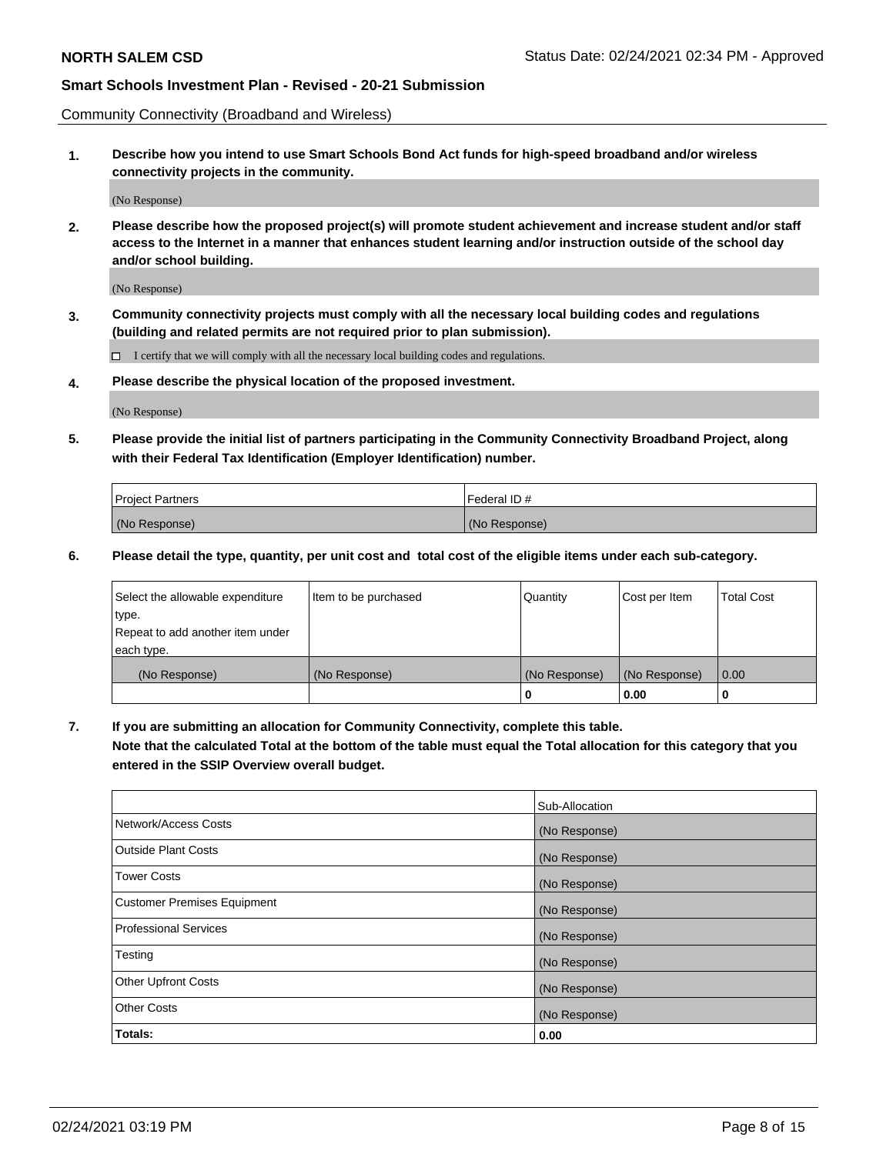Community Connectivity (Broadband and Wireless)

**1. Describe how you intend to use Smart Schools Bond Act funds for high-speed broadband and/or wireless connectivity projects in the community.**

(No Response)

**2. Please describe how the proposed project(s) will promote student achievement and increase student and/or staff access to the Internet in a manner that enhances student learning and/or instruction outside of the school day and/or school building.**

(No Response)

**3. Community connectivity projects must comply with all the necessary local building codes and regulations (building and related permits are not required prior to plan submission).**

 $\Box$  I certify that we will comply with all the necessary local building codes and regulations.

**4. Please describe the physical location of the proposed investment.**

(No Response)

**5. Please provide the initial list of partners participating in the Community Connectivity Broadband Project, along with their Federal Tax Identification (Employer Identification) number.**

| <b>Project Partners</b> | l Federal ID # |
|-------------------------|----------------|
| (No Response)           | (No Response)  |

**6. Please detail the type, quantity, per unit cost and total cost of the eligible items under each sub-category.**

| Select the allowable expenditure | Item to be purchased | Quantity      | Cost per Item | <b>Total Cost</b> |
|----------------------------------|----------------------|---------------|---------------|-------------------|
| type.                            |                      |               |               |                   |
| Repeat to add another item under |                      |               |               |                   |
| each type.                       |                      |               |               |                   |
| (No Response)                    | (No Response)        | (No Response) | (No Response) | 0.00              |
|                                  |                      | o             | 0.00          |                   |

**7. If you are submitting an allocation for Community Connectivity, complete this table.**

**Note that the calculated Total at the bottom of the table must equal the Total allocation for this category that you entered in the SSIP Overview overall budget.**

|                                    | Sub-Allocation |
|------------------------------------|----------------|
| Network/Access Costs               | (No Response)  |
| Outside Plant Costs                | (No Response)  |
| <b>Tower Costs</b>                 | (No Response)  |
| <b>Customer Premises Equipment</b> | (No Response)  |
| <b>Professional Services</b>       | (No Response)  |
| Testing                            | (No Response)  |
| <b>Other Upfront Costs</b>         | (No Response)  |
| <b>Other Costs</b>                 | (No Response)  |
| Totals:                            | 0.00           |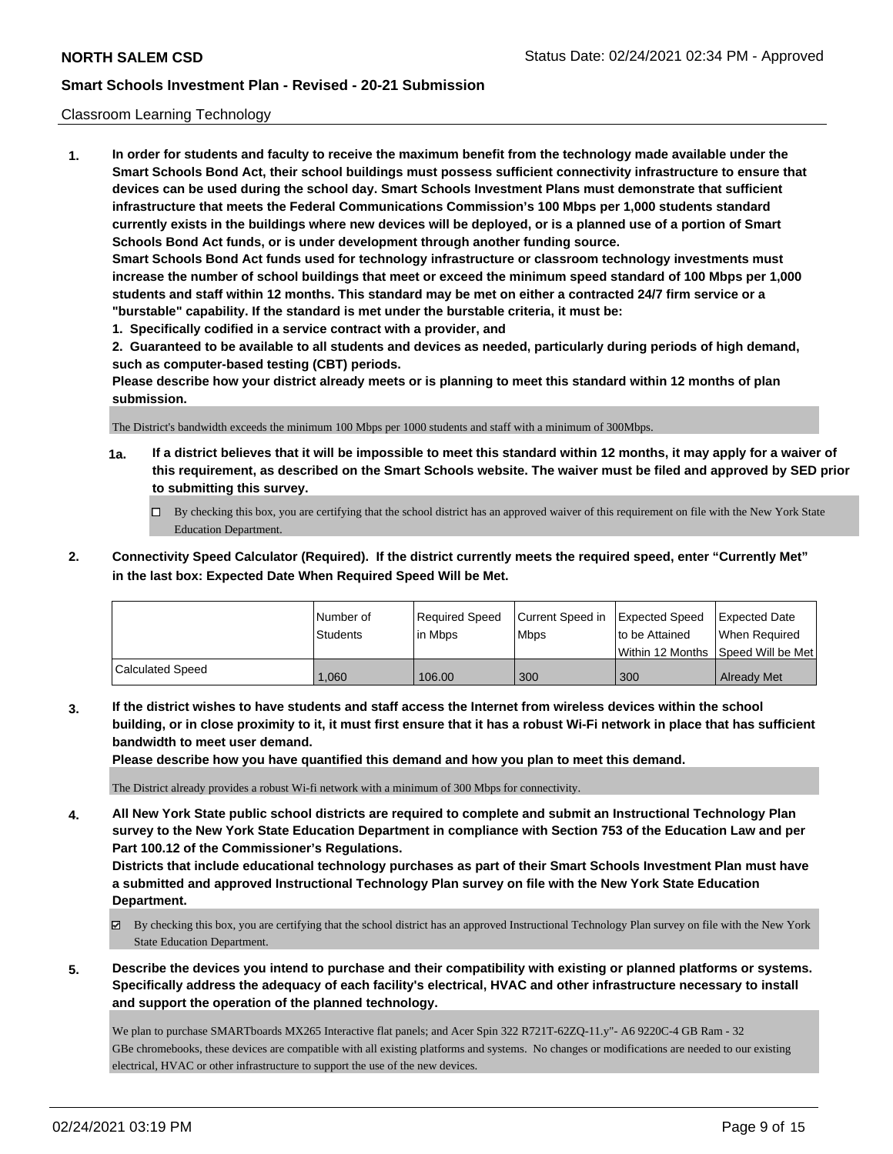#### Classroom Learning Technology

**1. In order for students and faculty to receive the maximum benefit from the technology made available under the Smart Schools Bond Act, their school buildings must possess sufficient connectivity infrastructure to ensure that devices can be used during the school day. Smart Schools Investment Plans must demonstrate that sufficient infrastructure that meets the Federal Communications Commission's 100 Mbps per 1,000 students standard currently exists in the buildings where new devices will be deployed, or is a planned use of a portion of Smart Schools Bond Act funds, or is under development through another funding source. Smart Schools Bond Act funds used for technology infrastructure or classroom technology investments must increase the number of school buildings that meet or exceed the minimum speed standard of 100 Mbps per 1,000 students and staff within 12 months. This standard may be met on either a contracted 24/7 firm service or a "burstable" capability. If the standard is met under the burstable criteria, it must be: 1. Specifically codified in a service contract with a provider, and**

**2. Guaranteed to be available to all students and devices as needed, particularly during periods of high demand, such as computer-based testing (CBT) periods.**

**Please describe how your district already meets or is planning to meet this standard within 12 months of plan submission.**

The District's bandwidth exceeds the minimum 100 Mbps per 1000 students and staff with a minimum of 300Mbps.

- **1a. If a district believes that it will be impossible to meet this standard within 12 months, it may apply for a waiver of this requirement, as described on the Smart Schools website. The waiver must be filed and approved by SED prior to submitting this survey.**
	- By checking this box, you are certifying that the school district has an approved waiver of this requirement on file with the New York State Education Department.
- **2. Connectivity Speed Calculator (Required). If the district currently meets the required speed, enter "Currently Met" in the last box: Expected Date When Required Speed Will be Met.**

|                         | l Number of     | Required Speed | Current Speed in | <b>Expected Speed</b> | <b>Expected Date</b>                    |
|-------------------------|-----------------|----------------|------------------|-----------------------|-----------------------------------------|
|                         | <b>Students</b> | l in Mbps      | <b>Mbps</b>      | to be Attained        | When Required                           |
|                         |                 |                |                  |                       | l Within 12 Months ISpeed Will be Met l |
| <b>Calculated Speed</b> | 060.1           | 106.00         | 300              | 300                   | <b>Already Met</b>                      |

**3. If the district wishes to have students and staff access the Internet from wireless devices within the school building, or in close proximity to it, it must first ensure that it has a robust Wi-Fi network in place that has sufficient bandwidth to meet user demand.**

**Please describe how you have quantified this demand and how you plan to meet this demand.**

The District already provides a robust Wi-fi network with a minimum of 300 Mbps for connectivity.

**4. All New York State public school districts are required to complete and submit an Instructional Technology Plan survey to the New York State Education Department in compliance with Section 753 of the Education Law and per Part 100.12 of the Commissioner's Regulations.**

**Districts that include educational technology purchases as part of their Smart Schools Investment Plan must have a submitted and approved Instructional Technology Plan survey on file with the New York State Education Department.**

- By checking this box, you are certifying that the school district has an approved Instructional Technology Plan survey on file with the New York State Education Department.
- **5. Describe the devices you intend to purchase and their compatibility with existing or planned platforms or systems. Specifically address the adequacy of each facility's electrical, HVAC and other infrastructure necessary to install and support the operation of the planned technology.**

We plan to purchase SMARTboards MX265 Interactive flat panels; and Acer Spin 322 R721T-62ZQ-11.y"- A6 9220C-4 GB Ram - 32 GBe chromebooks, these devices are compatible with all existing platforms and systems. No changes or modifications are needed to our existing electrical, HVAC or other infrastructure to support the use of the new devices.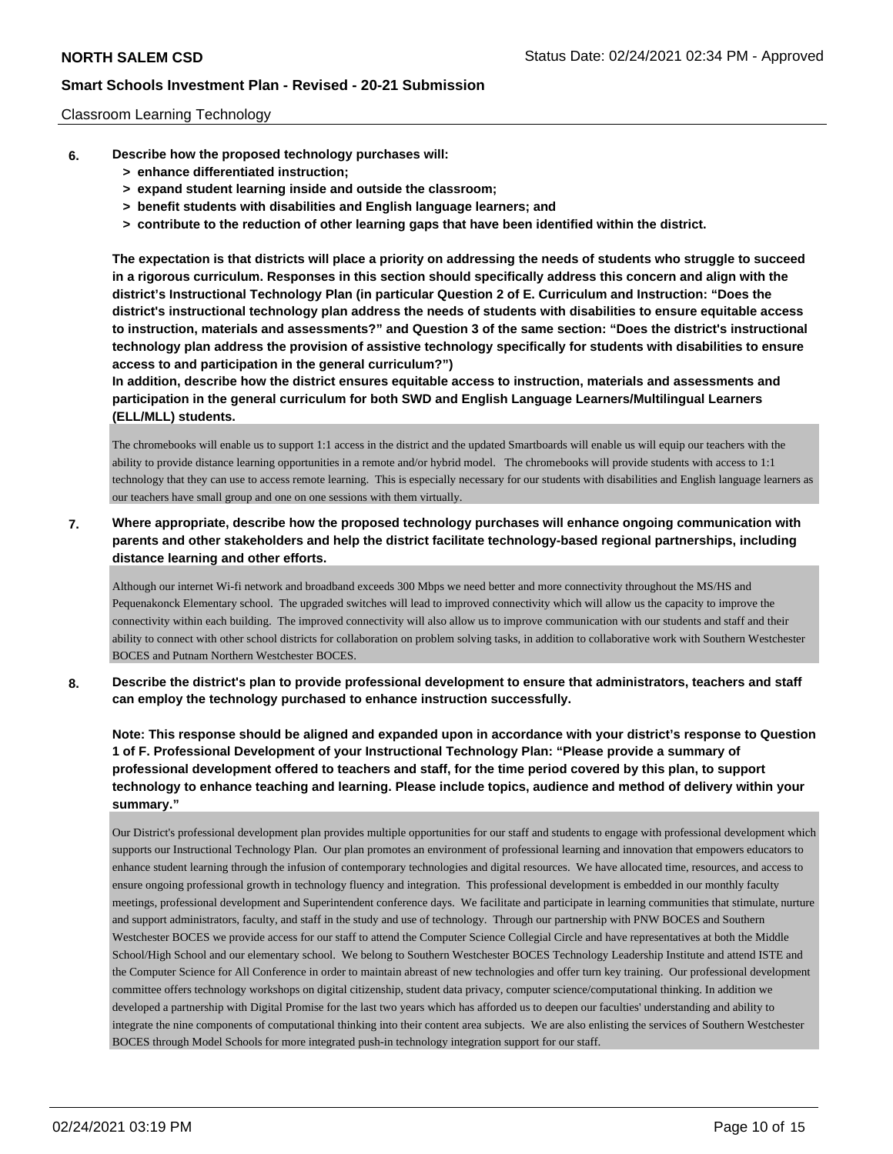#### Classroom Learning Technology

- **6. Describe how the proposed technology purchases will:**
	- **> enhance differentiated instruction;**
	- **> expand student learning inside and outside the classroom;**
	- **> benefit students with disabilities and English language learners; and**
	- **> contribute to the reduction of other learning gaps that have been identified within the district.**

**The expectation is that districts will place a priority on addressing the needs of students who struggle to succeed in a rigorous curriculum. Responses in this section should specifically address this concern and align with the district's Instructional Technology Plan (in particular Question 2 of E. Curriculum and Instruction: "Does the district's instructional technology plan address the needs of students with disabilities to ensure equitable access to instruction, materials and assessments?" and Question 3 of the same section: "Does the district's instructional technology plan address the provision of assistive technology specifically for students with disabilities to ensure access to and participation in the general curriculum?")**

**In addition, describe how the district ensures equitable access to instruction, materials and assessments and participation in the general curriculum for both SWD and English Language Learners/Multilingual Learners (ELL/MLL) students.**

The chromebooks will enable us to support 1:1 access in the district and the updated Smartboards will enable us will equip our teachers with the ability to provide distance learning opportunities in a remote and/or hybrid model. The chromebooks will provide students with access to 1:1 technology that they can use to access remote learning. This is especially necessary for our students with disabilities and English language learners as our teachers have small group and one on one sessions with them virtually.

**7. Where appropriate, describe how the proposed technology purchases will enhance ongoing communication with parents and other stakeholders and help the district facilitate technology-based regional partnerships, including distance learning and other efforts.**

Although our internet Wi-fi network and broadband exceeds 300 Mbps we need better and more connectivity throughout the MS/HS and Pequenakonck Elementary school. The upgraded switches will lead to improved connectivity which will allow us the capacity to improve the connectivity within each building. The improved connectivity will also allow us to improve communication with our students and staff and their ability to connect with other school districts for collaboration on problem solving tasks, in addition to collaborative work with Southern Westchester BOCES and Putnam Northern Westchester BOCES.

**8. Describe the district's plan to provide professional development to ensure that administrators, teachers and staff can employ the technology purchased to enhance instruction successfully.**

**Note: This response should be aligned and expanded upon in accordance with your district's response to Question 1 of F. Professional Development of your Instructional Technology Plan: "Please provide a summary of professional development offered to teachers and staff, for the time period covered by this plan, to support technology to enhance teaching and learning. Please include topics, audience and method of delivery within your summary."**

Our District's professional development plan provides multiple opportunities for our staff and students to engage with professional development which supports our Instructional Technology Plan. Our plan promotes an environment of professional learning and innovation that empowers educators to enhance student learning through the infusion of contemporary technologies and digital resources. We have allocated time, resources, and access to ensure ongoing professional growth in technology fluency and integration. This professional development is embedded in our monthly faculty meetings, professional development and Superintendent conference days. We facilitate and participate in learning communities that stimulate, nurture and support administrators, faculty, and staff in the study and use of technology. Through our partnership with PNW BOCES and Southern Westchester BOCES we provide access for our staff to attend the Computer Science Collegial Circle and have representatives at both the Middle School/High School and our elementary school. We belong to Southern Westchester BOCES Technology Leadership Institute and attend ISTE and the Computer Science for All Conference in order to maintain abreast of new technologies and offer turn key training. Our professional development committee offers technology workshops on digital citizenship, student data privacy, computer science/computational thinking. In addition we developed a partnership with Digital Promise for the last two years which has afforded us to deepen our faculties' understanding and ability to integrate the nine components of computational thinking into their content area subjects. We are also enlisting the services of Southern Westchester BOCES through Model Schools for more integrated push-in technology integration support for our staff.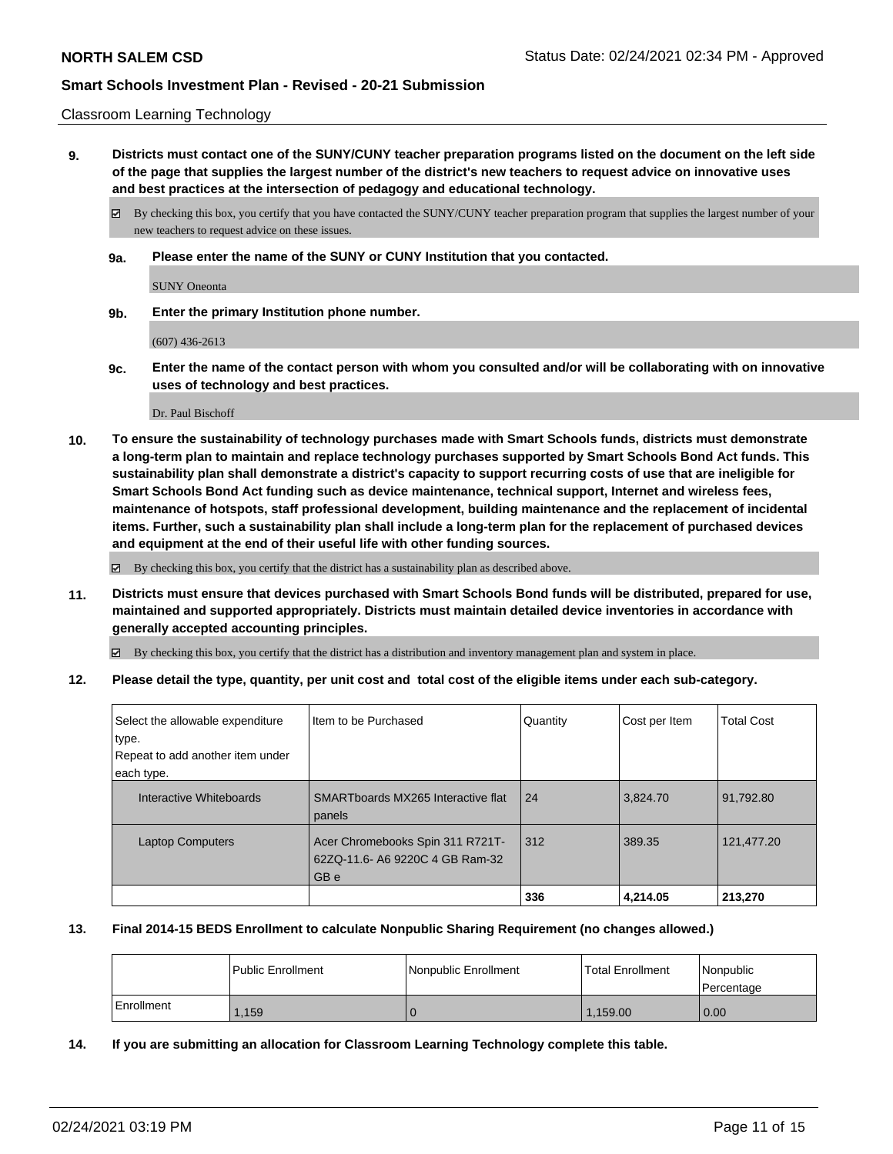#### Classroom Learning Technology

**9. Districts must contact one of the SUNY/CUNY teacher preparation programs listed on the document on the left side of the page that supplies the largest number of the district's new teachers to request advice on innovative uses and best practices at the intersection of pedagogy and educational technology.**

By checking this box, you certify that you have contacted the SUNY/CUNY teacher preparation program that supplies the largest number of your new teachers to request advice on these issues.

**9a. Please enter the name of the SUNY or CUNY Institution that you contacted.**

SUNY Oneonta

**9b. Enter the primary Institution phone number.**

(607) 436-2613

**9c. Enter the name of the contact person with whom you consulted and/or will be collaborating with on innovative uses of technology and best practices.**

Dr. Paul Bischoff

**10. To ensure the sustainability of technology purchases made with Smart Schools funds, districts must demonstrate a long-term plan to maintain and replace technology purchases supported by Smart Schools Bond Act funds. This sustainability plan shall demonstrate a district's capacity to support recurring costs of use that are ineligible for Smart Schools Bond Act funding such as device maintenance, technical support, Internet and wireless fees, maintenance of hotspots, staff professional development, building maintenance and the replacement of incidental items. Further, such a sustainability plan shall include a long-term plan for the replacement of purchased devices and equipment at the end of their useful life with other funding sources.**

By checking this box, you certify that the district has a sustainability plan as described above.

**11. Districts must ensure that devices purchased with Smart Schools Bond funds will be distributed, prepared for use, maintained and supported appropriately. Districts must maintain detailed device inventories in accordance with generally accepted accounting principles.**

By checking this box, you certify that the district has a distribution and inventory management plan and system in place.

**12. Please detail the type, quantity, per unit cost and total cost of the eligible items under each sub-category.**

| Select the allowable expenditure<br>type.<br>Repeat to add another item under | I Item to be Purchased                                                      | Quantity | Cost per Item | <b>Total Cost</b> |
|-------------------------------------------------------------------------------|-----------------------------------------------------------------------------|----------|---------------|-------------------|
| each type.                                                                    |                                                                             |          |               |                   |
| Interactive Whiteboards                                                       | SMARTboards MX265 Interactive flat<br>panels                                | 24       | 3,824.70      | 91,792.80         |
| <b>Laptop Computers</b>                                                       | Acer Chromebooks Spin 311 R721T-<br>62ZQ-11.6- A6 9220C 4 GB Ram-32<br>GB e | 312      | 389.35        | 121,477.20        |
|                                                                               |                                                                             | 336      | 4.214.05      | 213.270           |

#### **13. Final 2014-15 BEDS Enrollment to calculate Nonpublic Sharing Requirement (no changes allowed.)**

|            | <b>Public Enrollment</b> | Nonpublic Enrollment | <b>Total Enrollment</b> | <i>Nonpublic</i><br>l Percentage |
|------------|--------------------------|----------------------|-------------------------|----------------------------------|
| Enrollment | .159                     |                      | 1.159.00                | 0.00                             |

**14. If you are submitting an allocation for Classroom Learning Technology complete this table.**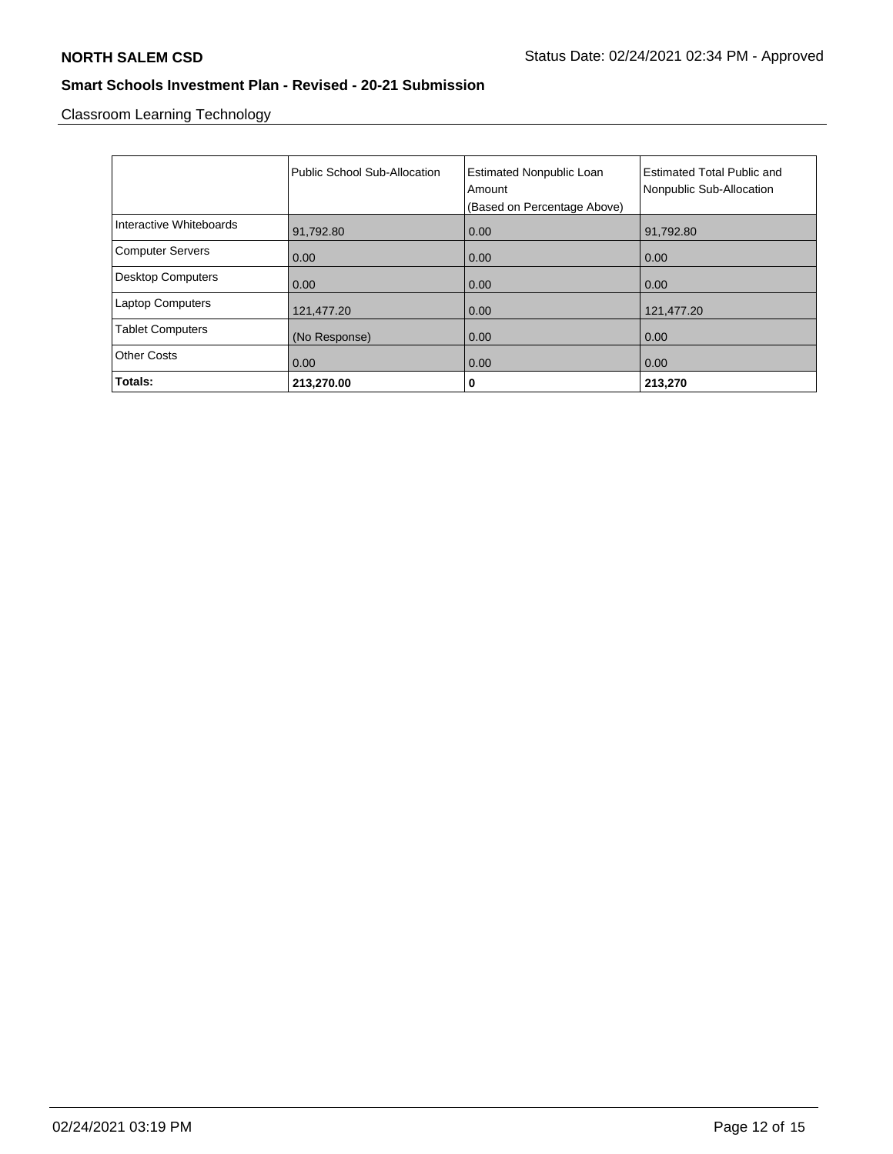Classroom Learning Technology

|                          | Public School Sub-Allocation | <b>Estimated Nonpublic Loan</b><br>Amount<br>(Based on Percentage Above) | <b>Estimated Total Public and</b><br>Nonpublic Sub-Allocation |
|--------------------------|------------------------------|--------------------------------------------------------------------------|---------------------------------------------------------------|
| Interactive Whiteboards  | 91,792.80                    | 0.00                                                                     | 91,792.80                                                     |
| <b>Computer Servers</b>  | 0.00                         | 0.00                                                                     | 0.00                                                          |
| <b>Desktop Computers</b> | 0.00                         | 0.00                                                                     | 0.00                                                          |
| <b>Laptop Computers</b>  | 121,477.20                   | 0.00                                                                     | 121,477.20                                                    |
| <b>Tablet Computers</b>  | (No Response)                | 0.00                                                                     | 0.00                                                          |
| <b>Other Costs</b>       | 0.00                         | 0.00                                                                     | 0.00                                                          |
| Totals:                  | 213,270.00                   | 0                                                                        | 213,270                                                       |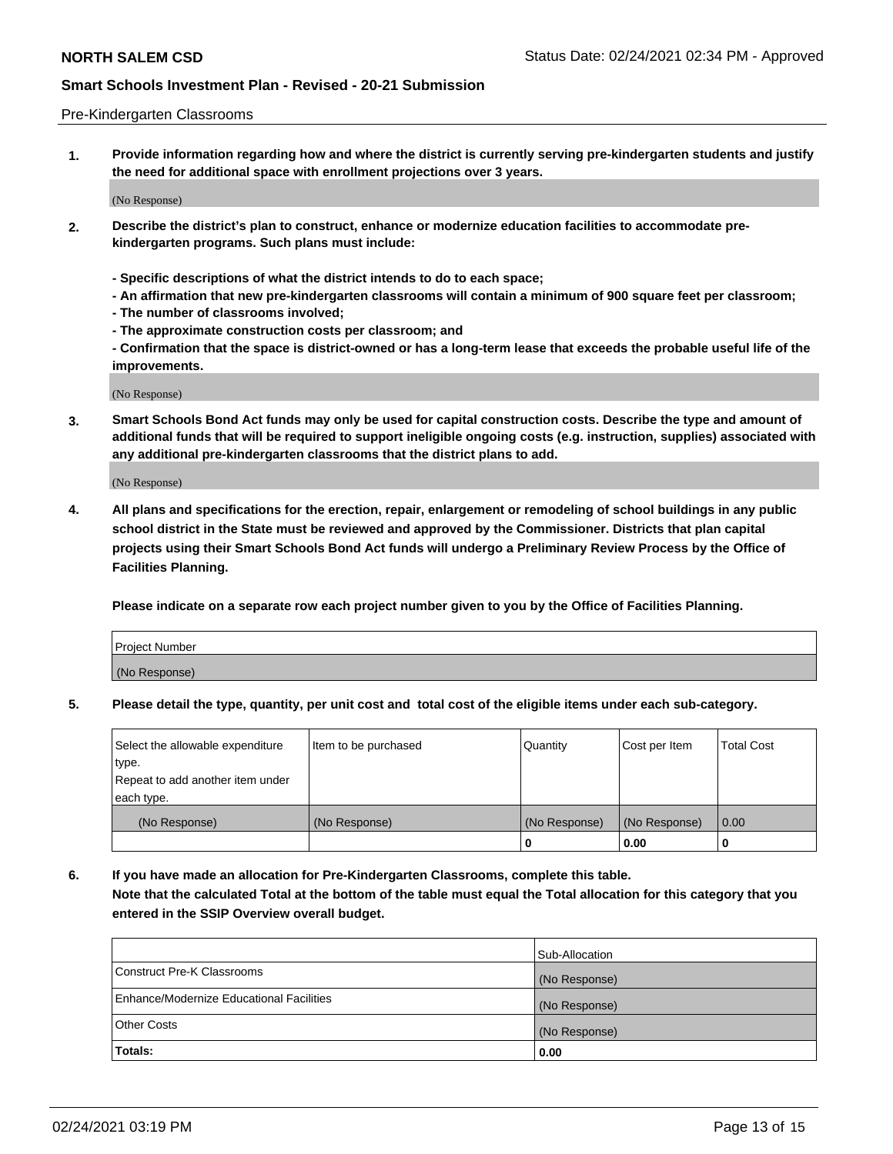#### Pre-Kindergarten Classrooms

**1. Provide information regarding how and where the district is currently serving pre-kindergarten students and justify the need for additional space with enrollment projections over 3 years.**

(No Response)

- **2. Describe the district's plan to construct, enhance or modernize education facilities to accommodate prekindergarten programs. Such plans must include:**
	- **Specific descriptions of what the district intends to do to each space;**
	- **An affirmation that new pre-kindergarten classrooms will contain a minimum of 900 square feet per classroom;**
	- **The number of classrooms involved;**
	- **The approximate construction costs per classroom; and**
	- **Confirmation that the space is district-owned or has a long-term lease that exceeds the probable useful life of the improvements.**

(No Response)

**3. Smart Schools Bond Act funds may only be used for capital construction costs. Describe the type and amount of additional funds that will be required to support ineligible ongoing costs (e.g. instruction, supplies) associated with any additional pre-kindergarten classrooms that the district plans to add.**

(No Response)

**4. All plans and specifications for the erection, repair, enlargement or remodeling of school buildings in any public school district in the State must be reviewed and approved by the Commissioner. Districts that plan capital projects using their Smart Schools Bond Act funds will undergo a Preliminary Review Process by the Office of Facilities Planning.**

**Please indicate on a separate row each project number given to you by the Office of Facilities Planning.**

| Project Number |  |
|----------------|--|
| (No Response)  |  |
|                |  |

**5. Please detail the type, quantity, per unit cost and total cost of the eligible items under each sub-category.**

| Select the allowable expenditure | Item to be purchased | Quantity      | Cost per Item | <b>Total Cost</b> |
|----------------------------------|----------------------|---------------|---------------|-------------------|
| type.                            |                      |               |               |                   |
| Repeat to add another item under |                      |               |               |                   |
| each type.                       |                      |               |               |                   |
| (No Response)                    | (No Response)        | (No Response) | (No Response) | 0.00              |
|                                  |                      | U             | 0.00          |                   |

**6. If you have made an allocation for Pre-Kindergarten Classrooms, complete this table. Note that the calculated Total at the bottom of the table must equal the Total allocation for this category that you entered in the SSIP Overview overall budget.**

|                                          | Sub-Allocation |
|------------------------------------------|----------------|
| Construct Pre-K Classrooms               | (No Response)  |
| Enhance/Modernize Educational Facilities | (No Response)  |
| <b>Other Costs</b>                       | (No Response)  |
| Totals:                                  | 0.00           |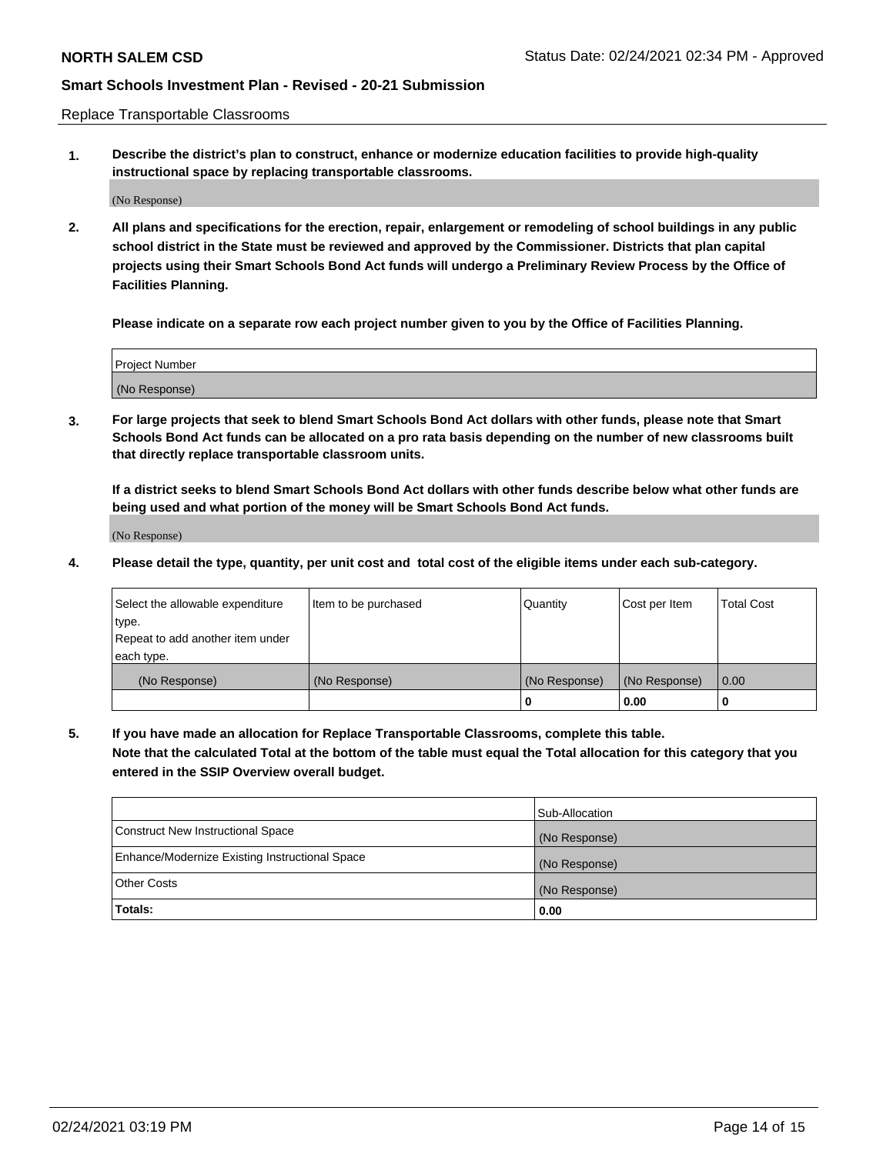Replace Transportable Classrooms

**1. Describe the district's plan to construct, enhance or modernize education facilities to provide high-quality instructional space by replacing transportable classrooms.**

(No Response)

**2. All plans and specifications for the erection, repair, enlargement or remodeling of school buildings in any public school district in the State must be reviewed and approved by the Commissioner. Districts that plan capital projects using their Smart Schools Bond Act funds will undergo a Preliminary Review Process by the Office of Facilities Planning.**

**Please indicate on a separate row each project number given to you by the Office of Facilities Planning.**

| Project Number |  |
|----------------|--|
|                |  |
|                |  |
|                |  |
| (No Response)  |  |
|                |  |
|                |  |

**3. For large projects that seek to blend Smart Schools Bond Act dollars with other funds, please note that Smart Schools Bond Act funds can be allocated on a pro rata basis depending on the number of new classrooms built that directly replace transportable classroom units.**

**If a district seeks to blend Smart Schools Bond Act dollars with other funds describe below what other funds are being used and what portion of the money will be Smart Schools Bond Act funds.**

(No Response)

**4. Please detail the type, quantity, per unit cost and total cost of the eligible items under each sub-category.**

| Select the allowable expenditure | Item to be purchased | Quantity      | Cost per Item | Total Cost |
|----------------------------------|----------------------|---------------|---------------|------------|
| ∣type.                           |                      |               |               |            |
| Repeat to add another item under |                      |               |               |            |
| each type.                       |                      |               |               |            |
| (No Response)                    | (No Response)        | (No Response) | (No Response) | 0.00       |
|                                  |                      | u             | 0.00          |            |

**5. If you have made an allocation for Replace Transportable Classrooms, complete this table. Note that the calculated Total at the bottom of the table must equal the Total allocation for this category that you entered in the SSIP Overview overall budget.**

|                                                | Sub-Allocation |
|------------------------------------------------|----------------|
| Construct New Instructional Space              | (No Response)  |
| Enhance/Modernize Existing Instructional Space | (No Response)  |
| Other Costs                                    | (No Response)  |
| Totals:                                        | 0.00           |